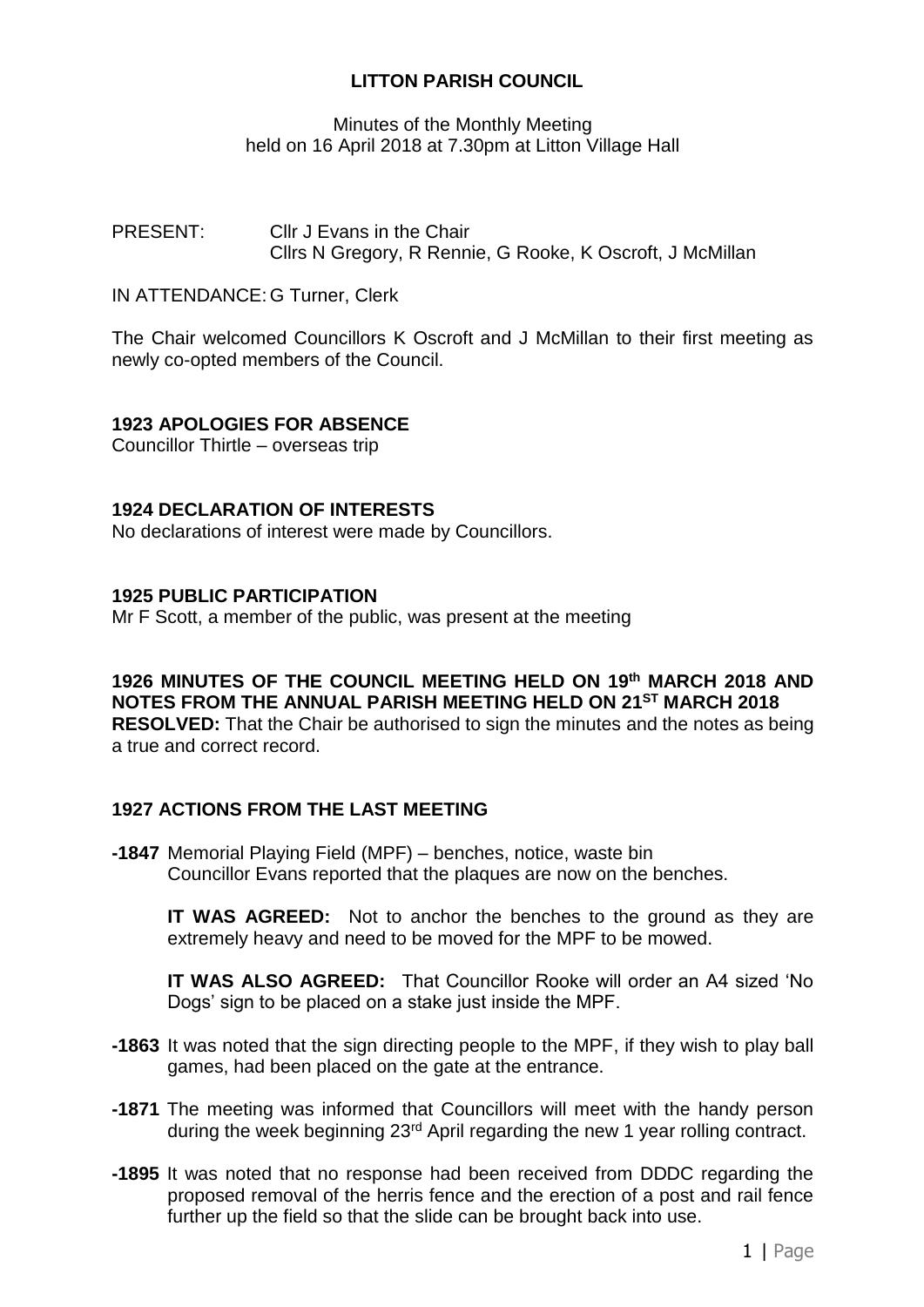# **LITTON PARISH COUNCIL**

## Minutes of the Monthly Meeting held on 16 April 2018 at 7.30pm at Litton Village Hall

PRESENT: Cllr J Evans in the Chair Cllrs N Gregory, R Rennie, G Rooke, K Oscroft, J McMillan

IN ATTENDANCE: G Turner, Clerk

The Chair welcomed Councillors K Oscroft and J McMillan to their first meeting as newly co-opted members of the Council.

## **1923 APOLOGIES FOR ABSENCE**

Councillor Thirtle – overseas trip

#### **1924 DECLARATION OF INTERESTS**

No declarations of interest were made by Councillors.

#### **1925 PUBLIC PARTICIPATION**

Mr F Scott, a member of the public, was present at the meeting

**1926 MINUTES OF THE COUNCIL MEETING HELD ON 19 th MARCH 2018 AND NOTES FROM THE ANNUAL PARISH MEETING HELD ON 21ST MARCH 2018 RESOLVED:** That the Chair be authorised to sign the minutes and the notes as being a true and correct record.

## **1927 ACTIONS FROM THE LAST MEETING**

**-1847** Memorial Playing Field (MPF) – benches, notice, waste bin Councillor Evans reported that the plaques are now on the benches.

**IT WAS AGREED:** Not to anchor the benches to the ground as they are extremely heavy and need to be moved for the MPF to be mowed.

**IT WAS ALSO AGREED:** That Councillor Rooke will order an A4 sized 'No Dogs' sign to be placed on a stake just inside the MPF.

- **-1863** It was noted that the sign directing people to the MPF, if they wish to play ball games, had been placed on the gate at the entrance.
- **-1871** The meeting was informed that Councillors will meet with the handy person during the week beginning 23rd April regarding the new 1 year rolling contract.
- **-1895** It was noted that no response had been received from DDDC regarding the proposed removal of the herris fence and the erection of a post and rail fence further up the field so that the slide can be brought back into use.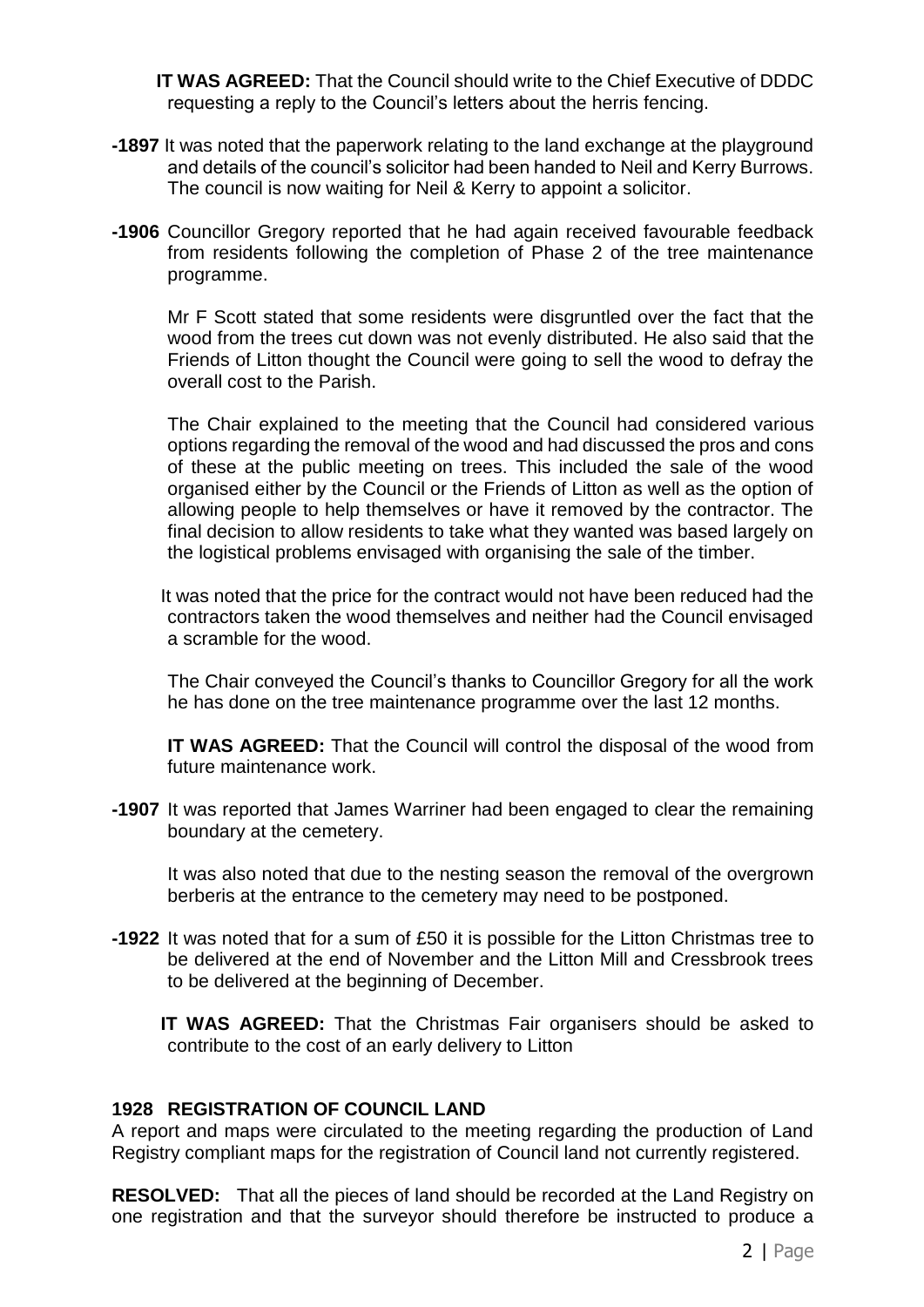**IT WAS AGREED:** That the Council should write to the Chief Executive of DDDC requesting a reply to the Council's letters about the herris fencing.

- **-1897** It was noted that the paperwork relating to the land exchange at the playground and details of the council's solicitor had been handed to Neil and Kerry Burrows. The council is now waiting for Neil & Kerry to appoint a solicitor.
- **-1906** Councillor Gregory reported that he had again received favourable feedback from residents following the completion of Phase 2 of the tree maintenance programme.

Mr F Scott stated that some residents were disgruntled over the fact that the wood from the trees cut down was not evenly distributed. He also said that the Friends of Litton thought the Council were going to sell the wood to defray the overall cost to the Parish.

The Chair explained to the meeting that the Council had considered various options regarding the removal of the wood and had discussed the pros and cons of these at the public meeting on trees. This included the sale of the wood organised either by the Council or the Friends of Litton as well as the option of allowing people to help themselves or have it removed by the contractor. The final decision to allow residents to take what they wanted was based largely on the logistical problems envisaged with organising the sale of the timber.

 It was noted that the price for the contract would not have been reduced had the contractors taken the wood themselves and neither had the Council envisaged a scramble for the wood.

The Chair conveyed the Council's thanks to Councillor Gregory for all the work he has done on the tree maintenance programme over the last 12 months.

**IT WAS AGREED:** That the Council will control the disposal of the wood from future maintenance work.

**-1907** It was reported that James Warriner had been engaged to clear the remaining boundary at the cemetery.

It was also noted that due to the nesting season the removal of the overgrown berberis at the entrance to the cemetery may need to be postponed.

**-1922** It was noted that for a sum of £50 it is possible for the Litton Christmas tree to be delivered at the end of November and the Litton Mill and Cressbrook trees to be delivered at the beginning of December.

 **IT WAS AGREED:** That the Christmas Fair organisers should be asked to contribute to the cost of an early delivery to Litton

## **1928 REGISTRATION OF COUNCIL LAND**

A report and maps were circulated to the meeting regarding the production of Land Registry compliant maps for the registration of Council land not currently registered.

**RESOLVED:** That all the pieces of land should be recorded at the Land Registry on one registration and that the surveyor should therefore be instructed to produce a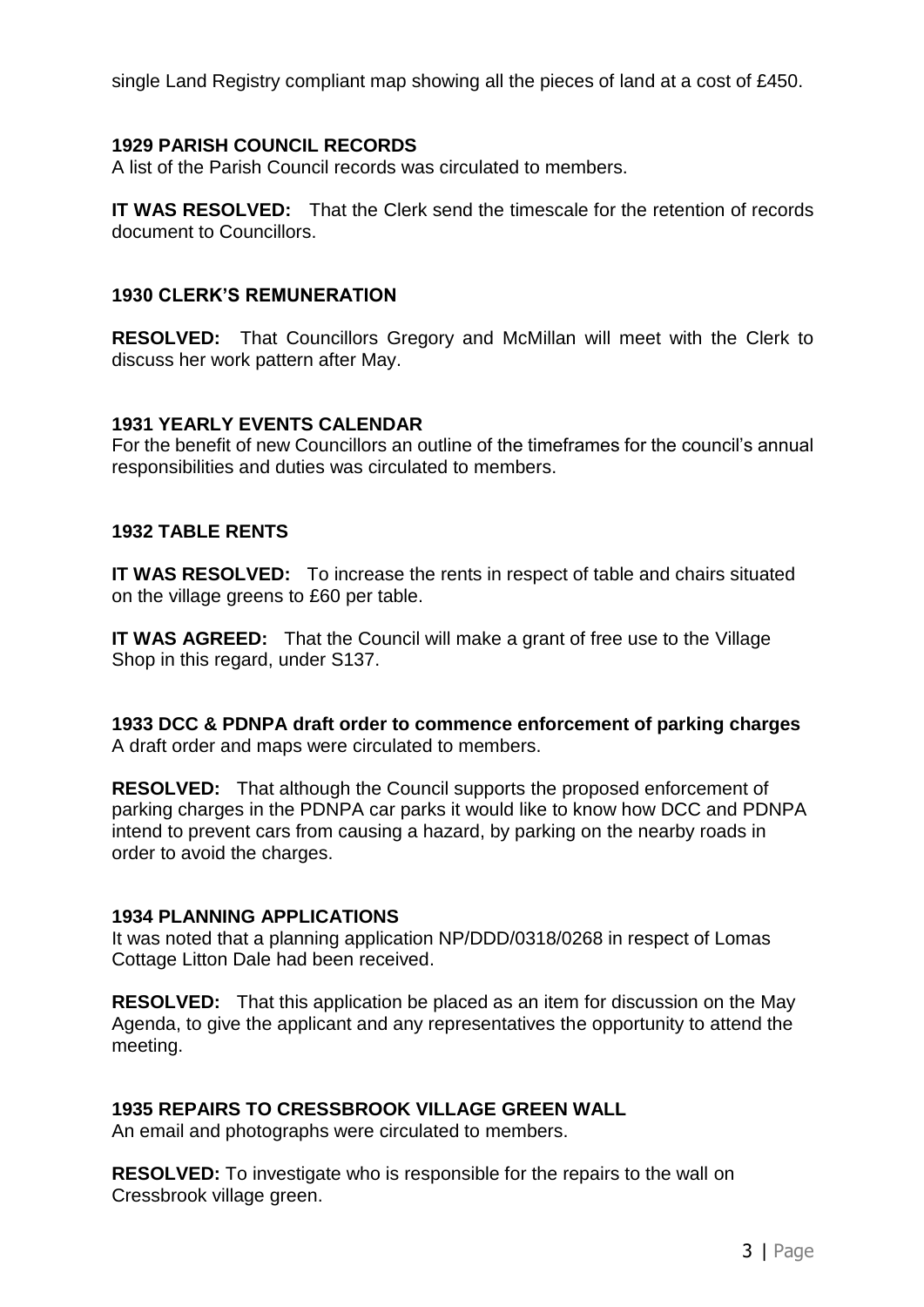single Land Registry compliant map showing all the pieces of land at a cost of £450.

# **1929 PARISH COUNCIL RECORDS**

A list of the Parish Council records was circulated to members.

**IT WAS RESOLVED:** That the Clerk send the timescale for the retention of records document to Councillors.

## **1930 CLERK'S REMUNERATION**

**RESOLVED:** That Councillors Gregory and McMillan will meet with the Clerk to discuss her work pattern after May.

## **1931 YEARLY EVENTS CALENDAR**

For the benefit of new Councillors an outline of the timeframes for the council's annual responsibilities and duties was circulated to members.

#### **1932 TABLE RENTS**

**IT WAS RESOLVED:** To increase the rents in respect of table and chairs situated on the village greens to £60 per table.

**IT WAS AGREED:** That the Council will make a grant of free use to the Village Shop in this regard, under S137.

**1933 DCC & PDNPA draft order to commence enforcement of parking charges** A draft order and maps were circulated to members.

**RESOLVED:** That although the Council supports the proposed enforcement of parking charges in the PDNPA car parks it would like to know how DCC and PDNPA intend to prevent cars from causing a hazard, by parking on the nearby roads in order to avoid the charges.

## **1934 PLANNING APPLICATIONS**

It was noted that a planning application NP/DDD/0318/0268 in respect of Lomas Cottage Litton Dale had been received.

**RESOLVED:** That this application be placed as an item for discussion on the May Agenda, to give the applicant and any representatives the opportunity to attend the meeting.

## **1935 REPAIRS TO CRESSBROOK VILLAGE GREEN WALL**

An email and photographs were circulated to members.

**RESOLVED:** To investigate who is responsible for the repairs to the wall on Cressbrook village green.